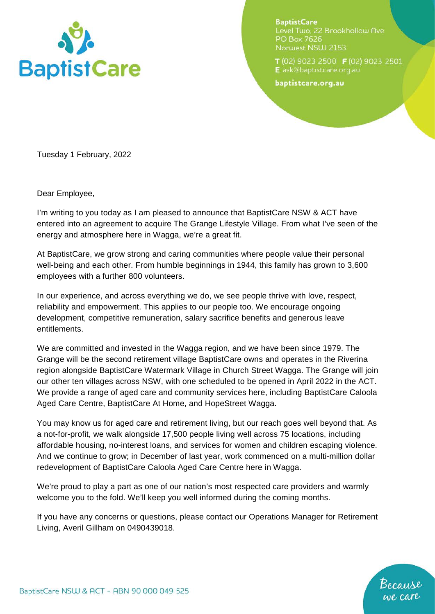

**BaptistCare** Level Two, 22 Brookhollow Ave PO Box 7626 Norwest NSW 2153

T (02) 9023 2500 F (02) 9023 2501 E ask@baptistcare.org.au

baptistcare.org.au

Tuesday 1 February, 2022

Dear Employee,

I'm writing to you today as I am pleased to announce that BaptistCare NSW & ACT have entered into an agreement to acquire The Grange Lifestyle Village. From what I've seen of the energy and atmosphere here in Wagga, we're a great fit.

At BaptistCare, we grow strong and caring communities where people value their personal well-being and each other. From humble beginnings in 1944, this family has grown to 3,600 employees with a further 800 volunteers.

In our experience, and across everything we do, we see people thrive with love, respect, reliability and empowerment. This applies to our people too. We encourage ongoing development, competitive remuneration, salary sacrifice benefits and generous leave entitlements.

We are committed and invested in the Wagga region, and we have been since 1979. The Grange will be the second retirement village BaptistCare owns and operates in the Riverina region alongside BaptistCare Watermark Village in Church Street Wagga. The Grange will join our other ten villages across NSW, with one scheduled to be opened in April 2022 in the ACT. We provide a range of aged care and community services here, including BaptistCare Caloola Aged Care Centre, BaptistCare At Home, and HopeStreet Wagga.

You may know us for aged care and retirement living, but our reach goes well beyond that. As a not-for-profit, we walk alongside 17,500 people living well across 75 locations, including affordable housing, no-interest loans, and services for women and children escaping violence. And we continue to grow; in December of last year, work commenced on a multi-million dollar redevelopment of BaptistCare Caloola Aged Care Centre here in Wagga.

We're proud to play a part as one of our nation's most respected care providers and warmly welcome you to the fold. We'll keep you well informed during the coming months.

If you have any concerns or questions, please contact our Operations Manager for Retirement Living, Averil Gillham on 0490439018.